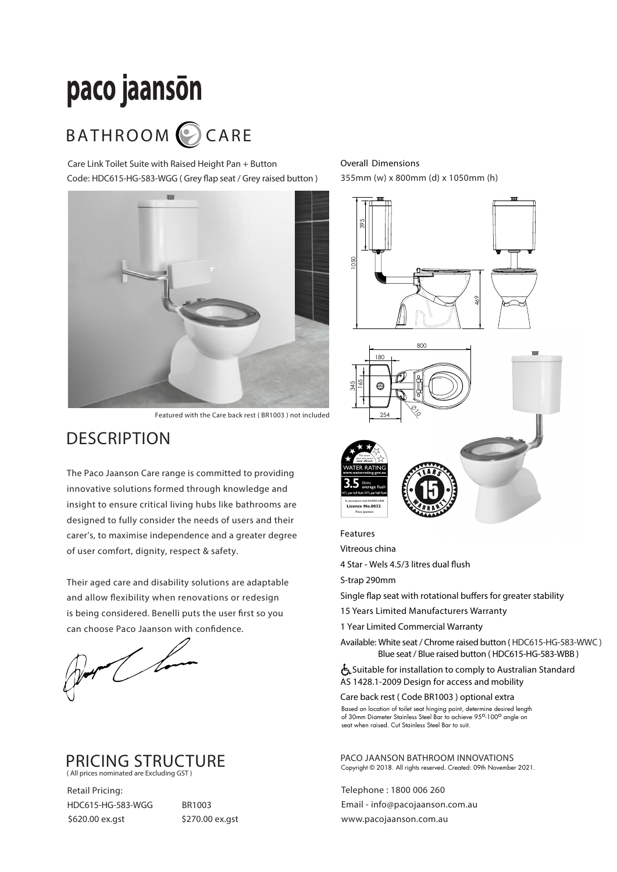# paco jaanson

## BATHROOM CARE

Care Link Toilet Suite with Raised Height Pan + Button Code: HDC615-HG-583-WGG ( Grey flap seat / Grey raised button )



Featured with the Care back rest ( BR1003 ) not included

#### **DESCRIPTION**

The Paco Jaanson Care range is committed to providing innovative solutions formed through knowledge and insight to ensure critical living hubs like bathrooms are designed to fully consider the needs of users and their carer's, to maximise independence and a greater degree of user comfort, dignity, respect & safety.

Their aged care and disability solutions are adaptable and allow flexibility when renovations or redesign is being considered. Benelli puts the user first so you can choose Paco Jaanson with confidence.

 $\sim$ 



Retail Pricing: HDC615-HG-583-WGG \$620.00 ex.gst

BR1003 \$270.00 ex.gst Overall Dimensions 355mm (w) x 800mm (d) x 1050mm (h)



Features

Vitreous china

4 Star - Wels 4.5/3 litres dual flush

S-trap 290mm

Single flap seat with rotational buffers for greater stability

- 15 Years Limited Manufacturers Warranty
- 1 Year Limited Commercial Warranty

Available: White seat / Chrome raised button ( HDC615-HG-583-WWC ) Blue seat / Blue raised button ( HDC615-HG-583-WBB )

 Suitable for installation to comply to Australian Standard AS 1428.1-2009 Design for access and mobility

Care back rest ( Code BR1003 ) optional extra

of 30mm Diameter Stainless Steel Bar to achieve 95°-100° angle on Based on location of toilet seat hinging point, determine desired length seat when raised. Cut Stainless Steel Bar to suit.

PACO JAANSON BATHROOM INNOVATIONS Copyright © 2018. All rights reserved. Created: 09th November 2021.

Telephone : 1800 006 260 Email - info@pacojaanson.com.au www.pacojaanson.com.au